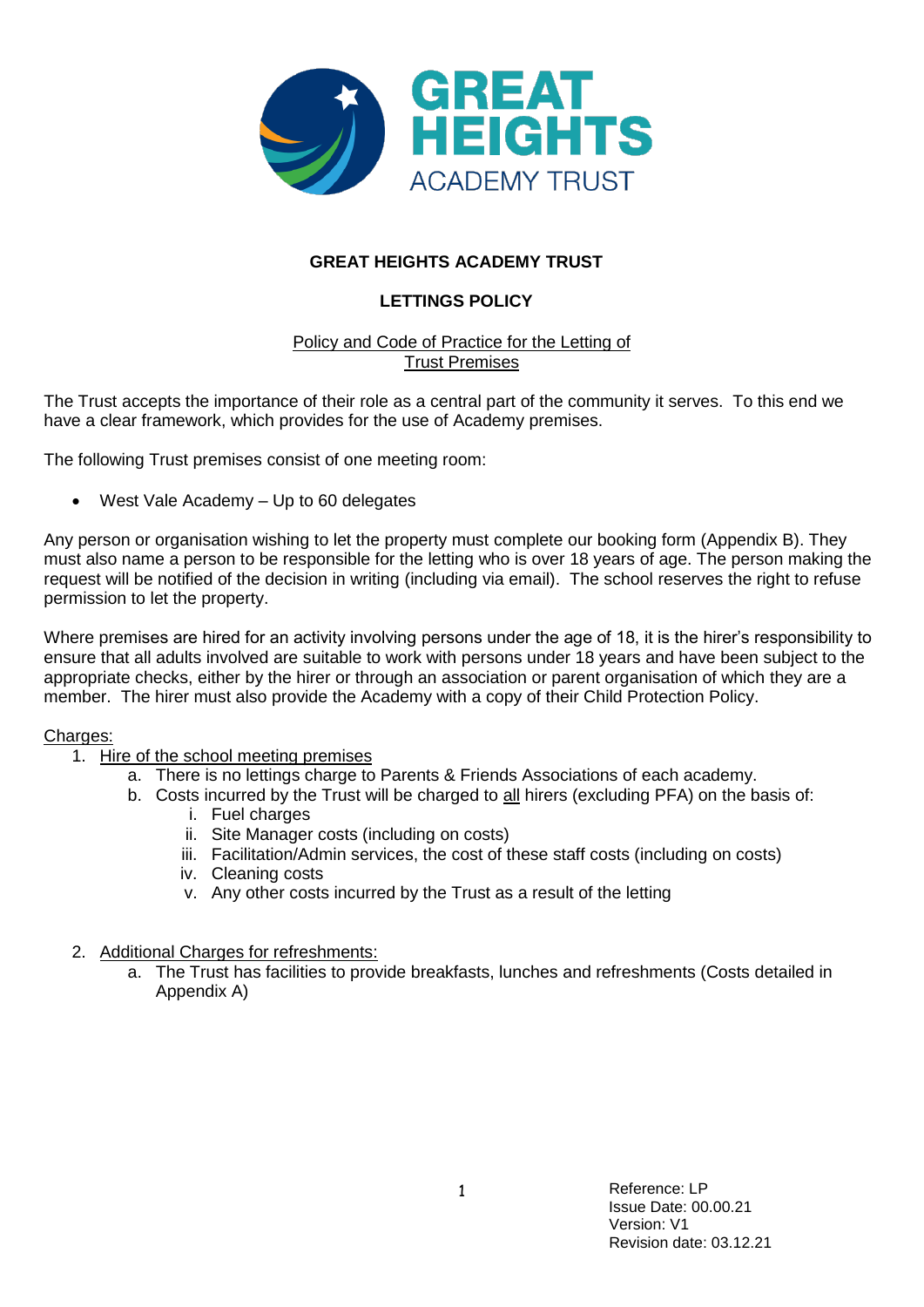

## **GREAT HEIGHTS ACADEMY TRUST**

# **LETTINGS POLICY**

### Policy and Code of Practice for the Letting of Trust Premises

The Trust accepts the importance of their role as a central part of the community it serves. To this end we have a clear framework, which provides for the use of Academy premises.

The following Trust premises consist of one meeting room:

West Vale Academy – Up to 60 delegates

Any person or organisation wishing to let the property must complete our booking form (Appendix B). They must also name a person to be responsible for the letting who is over 18 years of age. The person making the request will be notified of the decision in writing (including via email). The school reserves the right to refuse permission to let the property.

Where premises are hired for an activity involving persons under the age of 18, it is the hirer's responsibility to ensure that all adults involved are suitable to work with persons under 18 years and have been subject to the appropriate checks, either by the hirer or through an association or parent organisation of which they are a member. The hirer must also provide the Academy with a copy of their Child Protection Policy.

#### Charges:

- 1. Hire of the school meeting premises
	- a. There is no lettings charge to Parents & Friends Associations of each academy.
	- b. Costs incurred by the Trust will be charged to all hirers (excluding PFA) on the basis of:
		- i. Fuel charges
		- ii. Site Manager costs (including on costs)
		- iii. Facilitation/Admin services, the cost of these staff costs (including on costs)
		- iv. Cleaning costs
		- v. Any other costs incurred by the Trust as a result of the letting
- 2. Additional Charges for refreshments:
	- a. The Trust has facilities to provide breakfasts, lunches and refreshments (Costs detailed in Appendix A)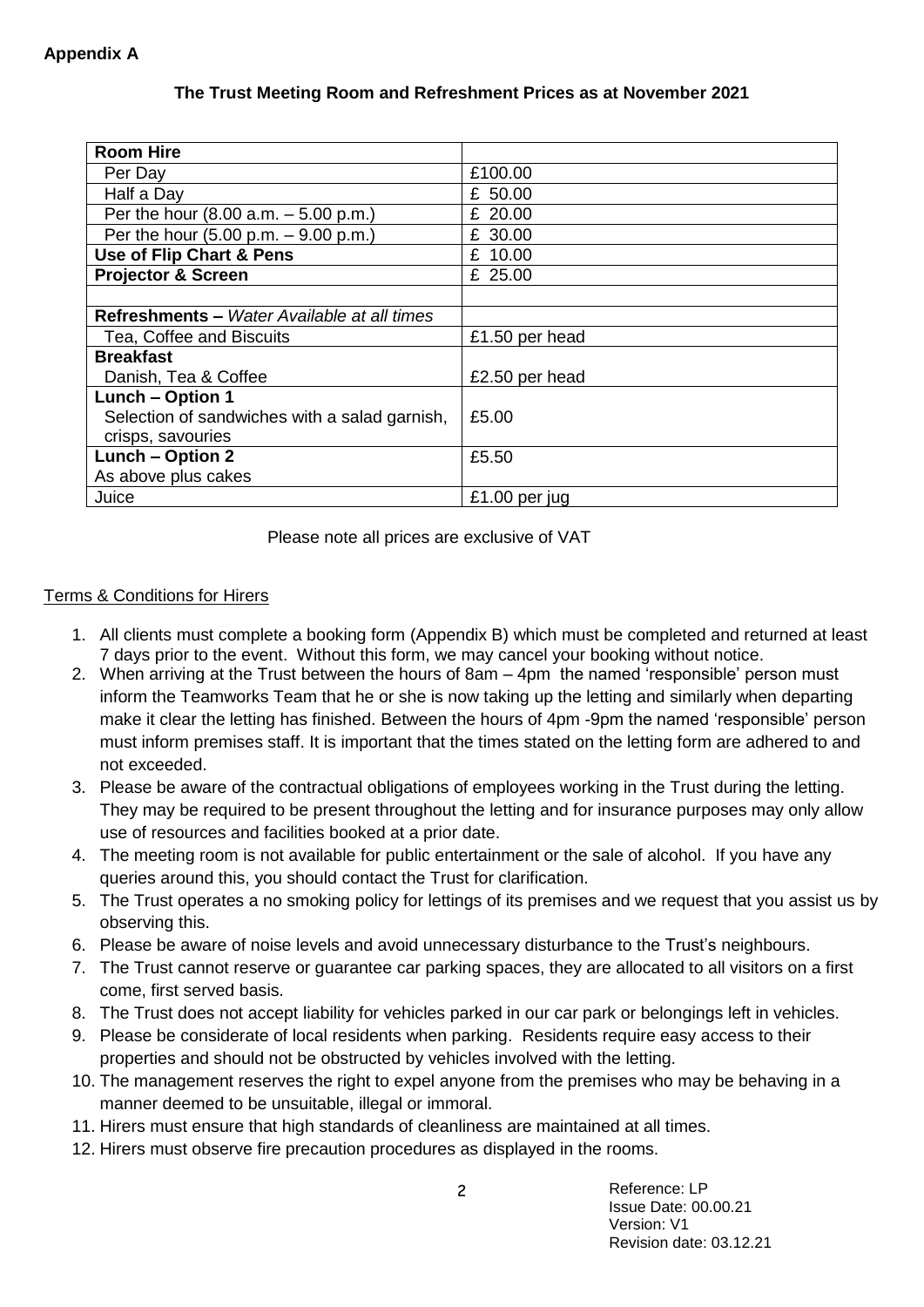### **The Trust Meeting Room and Refreshment Prices as at November 2021**

| <b>Room Hire</b>                                       |                |
|--------------------------------------------------------|----------------|
| Per Day                                                | £100.00        |
| Half a Day                                             | £ 50.00        |
| Per the hour $(8.00 a.m. - 5.00 p.m.)$                 | £ 20.00        |
| Per the hour $(5.00 \text{ p.m.} - 9.00 \text{ p.m.})$ | £ 30.00        |
| Use of Flip Chart & Pens                               | £ 10.00        |
| <b>Projector &amp; Screen</b>                          | £ 25.00        |
|                                                        |                |
| Refreshments - Water Available at all times            |                |
| Tea, Coffee and Biscuits                               | £1.50 per head |
| <b>Breakfast</b>                                       |                |
| Danish, Tea & Coffee                                   | £2.50 per head |
| <b>Lunch - Option 1</b>                                |                |
| Selection of sandwiches with a salad garnish,          | £5.00          |
| crisps, savouries                                      |                |
| Lunch - Option 2                                       | £5.50          |
| As above plus cakes                                    |                |
| Juice                                                  | £1.00 per jug  |

Please note all prices are exclusive of VAT

### Terms & Conditions for Hirers

- 1. All clients must complete a booking form (Appendix B) which must be completed and returned at least 7 days prior to the event. Without this form, we may cancel your booking without notice.
- 2. When arriving at the Trust between the hours of 8am 4pm the named 'responsible' person must inform the Teamworks Team that he or she is now taking up the letting and similarly when departing make it clear the letting has finished. Between the hours of 4pm -9pm the named 'responsible' person must inform premises staff. It is important that the times stated on the letting form are adhered to and not exceeded.
- 3. Please be aware of the contractual obligations of employees working in the Trust during the letting. They may be required to be present throughout the letting and for insurance purposes may only allow use of resources and facilities booked at a prior date.
- 4. The meeting room is not available for public entertainment or the sale of alcohol. If you have any queries around this, you should contact the Trust for clarification.
- 5. The Trust operates a no smoking policy for lettings of its premises and we request that you assist us by observing this.
- 6. Please be aware of noise levels and avoid unnecessary disturbance to the Trust's neighbours.
- 7. The Trust cannot reserve or guarantee car parking spaces, they are allocated to all visitors on a first come, first served basis.
- 8. The Trust does not accept liability for vehicles parked in our car park or belongings left in vehicles.
- 9. Please be considerate of local residents when parking. Residents require easy access to their properties and should not be obstructed by vehicles involved with the letting.
- 10. The management reserves the right to expel anyone from the premises who may be behaving in a manner deemed to be unsuitable, illegal or immoral.
- 11. Hirers must ensure that high standards of cleanliness are maintained at all times.
- 12. Hirers must observe fire precaution procedures as displayed in the rooms.

 Reference: LP Issue Date: 00.00.21 Version: V1 Revision date: 03.12.21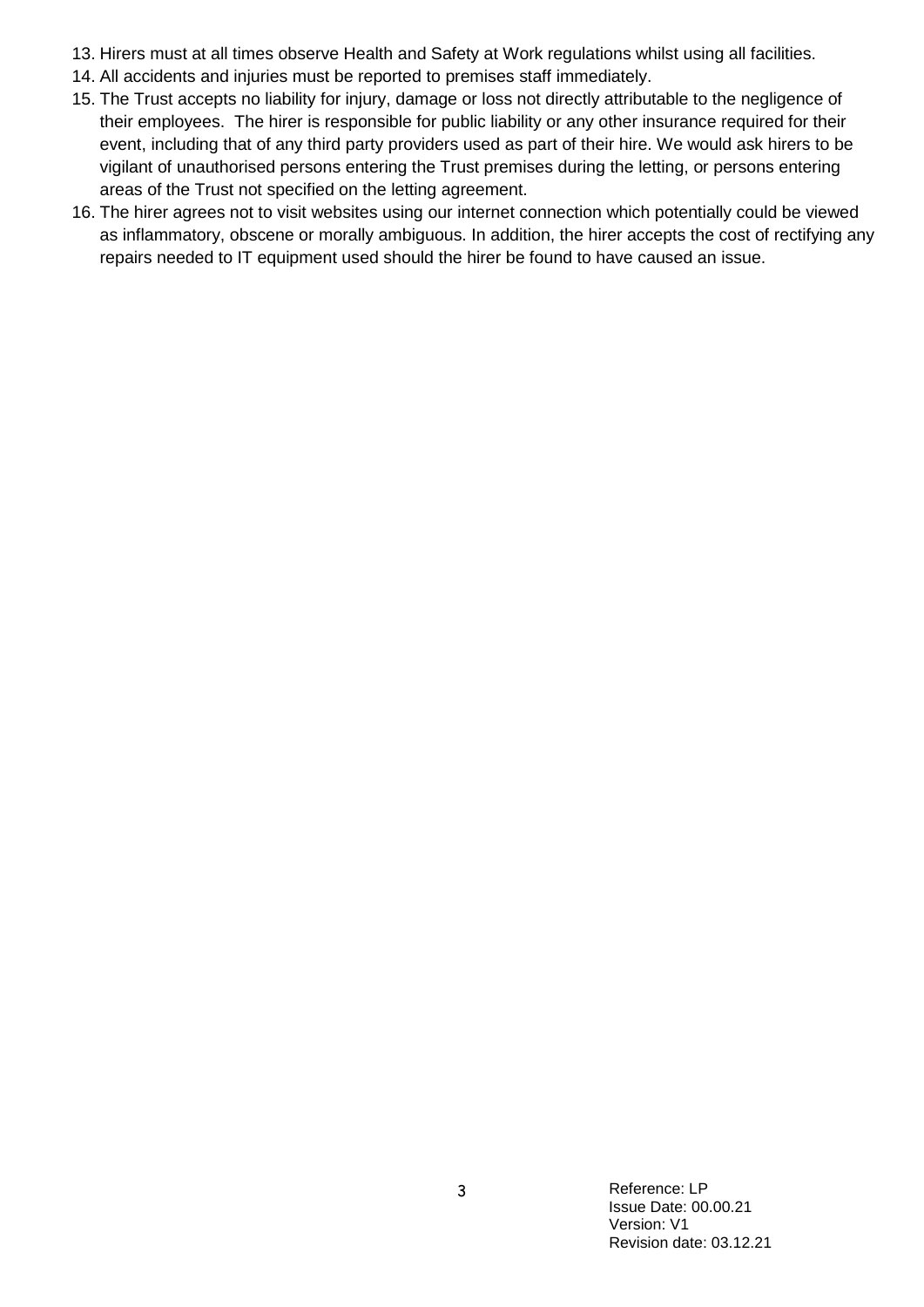- 13. Hirers must at all times observe Health and Safety at Work regulations whilst using all facilities.
- 14. All accidents and injuries must be reported to premises staff immediately.
- 15. The Trust accepts no liability for injury, damage or loss not directly attributable to the negligence of their employees. The hirer is responsible for public liability or any other insurance required for their event, including that of any third party providers used as part of their hire. We would ask hirers to be vigilant of unauthorised persons entering the Trust premises during the letting, or persons entering areas of the Trust not specified on the letting agreement.
- 16. The hirer agrees not to visit websites using our internet connection which potentially could be viewed as inflammatory, obscene or morally ambiguous. In addition, the hirer accepts the cost of rectifying any repairs needed to IT equipment used should the hirer be found to have caused an issue.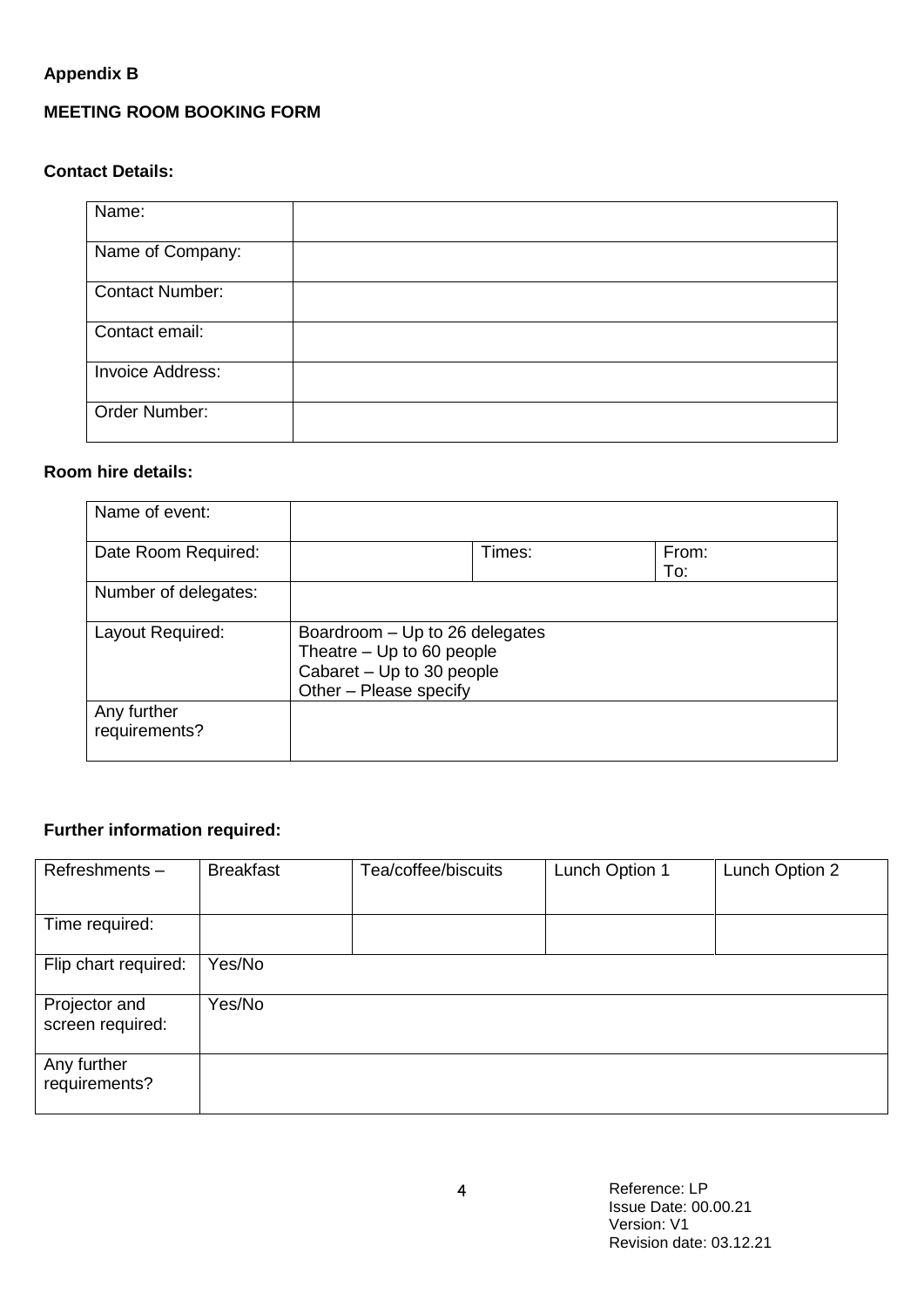# **Appendix B**

# **MEETING ROOM BOOKING FORM**

## **Contact Details:**

| Name:                   |  |
|-------------------------|--|
| Name of Company:        |  |
| <b>Contact Number:</b>  |  |
| Contact email:          |  |
| <b>Invoice Address:</b> |  |
| Order Number:           |  |

## **Room hire details:**

| Name of event:               |                                                                                                                    |        |              |
|------------------------------|--------------------------------------------------------------------------------------------------------------------|--------|--------------|
| Date Room Required:          |                                                                                                                    | Times: | From:<br>To: |
| Number of delegates:         |                                                                                                                    |        |              |
| Layout Required:             | Boardroom - Up to 26 delegates<br>Theatre - Up to 60 people<br>Cabaret - Up to 30 people<br>Other - Please specify |        |              |
| Any further<br>requirements? |                                                                                                                    |        |              |

# **Further information required:**

| Refreshments-                     | <b>Breakfast</b> | Tea/coffee/biscuits | Lunch Option 1 | Lunch Option 2 |
|-----------------------------------|------------------|---------------------|----------------|----------------|
| Time required:                    |                  |                     |                |                |
| Flip chart required:              | Yes/No           |                     |                |                |
| Projector and<br>screen required: | Yes/No           |                     |                |                |
| Any further<br>requirements?      |                  |                     |                |                |